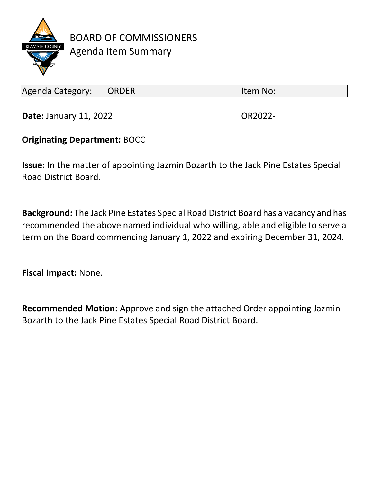

BOARD OF COMMISSIONERS Agenda Item Summary

Agenda Category: ORDER Item No:

**Date:** January 11, 2022 **OR2022-**

## **Originating Department:** BOCC

**Issue:** In the matter of appointing Jazmin Bozarth to the Jack Pine Estates Special Road District Board.

**Background:** The Jack Pine Estates Special Road District Board has a vacancy and has recommended the above named individual who willing, able and eligible to serve a term on the Board commencing January 1, 2022 and expiring December 31, 2024.

**Fiscal Impact:** None.

**Recommended Motion:** Approve and sign the attached Order appointing Jazmin Bozarth to the Jack Pine Estates Special Road District Board.